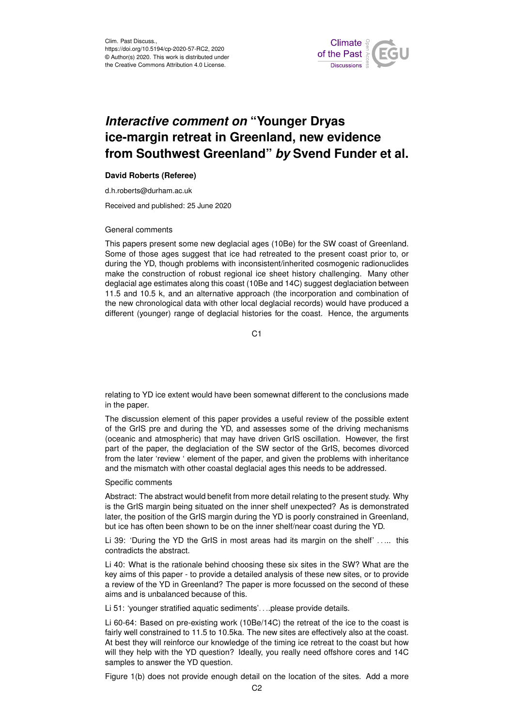

# *Interactive comment on* **"Younger Dryas ice-margin retreat in Greenland, new evidence from Southwest Greenland"** *by* **Svend Funder et al.**

## **David Roberts (Referee)**

d.h.roberts@durham.ac.uk

Received and published: 25 June 2020

### General comments

This papers present some new deglacial ages (10Be) for the SW coast of Greenland. Some of those ages suggest that ice had retreated to the present coast prior to, or during the YD, though problems with inconsistent/inherited cosmogenic radionuclides make the construction of robust regional ice sheet history challenging. Many other deglacial age estimates along this coast (10Be and 14C) suggest deglaciation between 11.5 and 10.5 k, and an alternative approach (the incorporation and combination of the new chronological data with other local deglacial records) would have produced a different (younger) range of deglacial histories for the coast. Hence, the arguments

C<sub>1</sub>

relating to YD ice extent would have been somewnat different to the conclusions made in the paper.

The discussion element of this paper provides a useful review of the possible extent of the GrIS pre and during the YD, and assesses some of the driving mechanisms (oceanic and atmospheric) that may have driven GrIS oscillation. However, the first part of the paper, the deglaciation of the SW sector of the GrIS, becomes divorced from the later 'review ' element of the paper, and given the problems with inheritance and the mismatch with other coastal deglacial ages this needs to be addressed.

#### Specific comments

Abstract: The abstract would benefit from more detail relating to the present study. Why is the GrIS margin being situated on the inner shelf unexpected? As is demonstrated later, the position of the GrIS margin during the YD is poorly constrained in Greenland, but ice has often been shown to be on the inner shelf/near coast during the YD.

Li 39: 'During the YD the GrIS in most areas had its margin on the shelf' ..... this contradicts the abstract.

Li 40: What is the rationale behind choosing these six sites in the SW? What are the key aims of this paper - to provide a detailed analysis of these new sites, or to provide a review of the YD in Greenland? The paper is more focussed on the second of these aims and is unbalanced because of this.

Li 51: 'younger stratified aquatic sediments'....please provide details.

Li 60-64: Based on pre-existing work (10Be/14C) the retreat of the ice to the coast is fairly well constrained to 11.5 to 10.5ka. The new sites are effectively also at the coast. At best they will reinforce our knowledge of the timing ice retreat to the coast but how will they help with the YD question? Ideally, you really need offshore cores and 14C samples to answer the YD question.

Figure 1(b) does not provide enough detail on the location of the sites. Add a more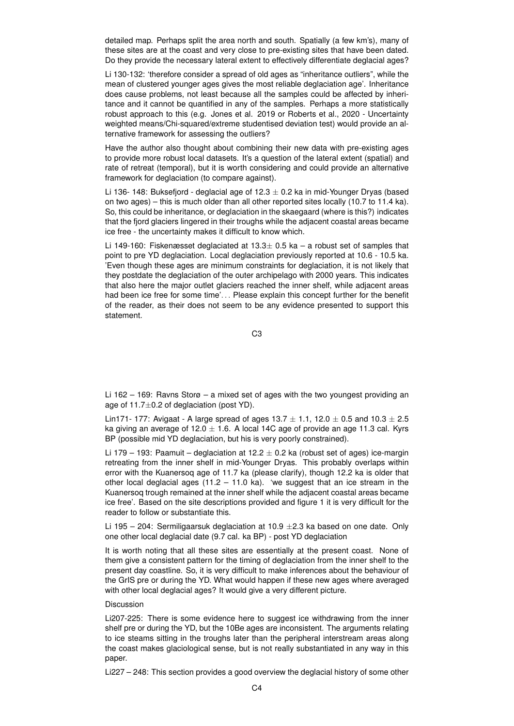detailed map. Perhaps split the area north and south. Spatially (a few km's), many of these sites are at the coast and very close to pre-existing sites that have been dated. Do they provide the necessary lateral extent to effectively differentiate deglacial ages?

Li 130-132: 'therefore consider a spread of old ages as "inheritance outliers", while the mean of clustered younger ages gives the most reliable deglaciation age'. Inheritance does cause problems, not least because all the samples could be affected by inheritance and it cannot be quantified in any of the samples. Perhaps a more statistically robust approach to this (e.g. Jones et al. 2019 or Roberts et al., 2020 - Uncertainty weighted means/Chi-squared/extreme studentised deviation test) would provide an alternative framework for assessing the outliers?

Have the author also thought about combining their new data with pre-existing ages to provide more robust local datasets. It's a question of the lateral extent (spatial) and rate of retreat (temporal), but it is worth considering and could provide an alternative framework for deglaciation (to compare against).

Li 136- 148: Buksefjord - deglacial age of 12.3  $\pm$  0.2 ka in mid-Younger Dryas (based on two ages) – this is much older than all other reported sites locally (10.7 to 11.4 ka). So, this could be inheritance, or deglaciation in the skaegaard (where is this?) indicates that the fjord glaciers lingered in their troughs while the adjacent coastal areas became ice free - the uncertainty makes it difficult to know which.

Li 149-160: Fiskenæsset deglaciated at  $13.3 \pm 0.5$  ka – a robust set of samples that point to pre YD deglaciation. Local deglaciation previously reported at 10.6 - 10.5 ka. 'Even though these ages are minimum constraints for deglaciation, it is not likely that they postdate the deglaciation of the outer archipelago with 2000 years. This indicates that also here the major outlet glaciers reached the inner shelf, while adjacent areas had been ice free for some time'... Please explain this concept further for the benefit of the reader, as their does not seem to be any evidence presented to support this statement.

C3

Li 162 – 169: Ravns Storø – a mixed set of ages with the two youngest providing an age of  $11.7 \pm 0.2$  of deglaciation (post YD).

Lin171- 177: Avigaat - A large spread of ages  $13.7 \pm 1.1$ , 12.0  $\pm$  0.5 and 10.3  $\pm$  2.5 ka giving an average of 12.0  $\pm$  1.6. A local 14C age of provide an age 11.3 cal. Kyrs BP (possible mid YD deglaciation, but his is very poorly constrained).

Li 179 – 193: Paamuit – deglaciation at 12.2  $\pm$  0.2 ka (robust set of ages) ice-margin retreating from the inner shelf in mid-Younger Dryas. This probably overlaps within error with the Kuanersoq age of 11.7 ka (please clarify), though 12.2 ka is older that other local deglacial ages  $(11.2 - 11.0 \text{ ka})$ . 'we suggest that an ice stream in the Kuanersoq trough remained at the inner shelf while the adjacent coastal areas became ice free'. Based on the site descriptions provided and figure 1 it is very difficult for the reader to follow or substantiate this.

Li 195 – 204: Sermiligaarsuk deglaciation at 10.9  $\pm$ 2.3 ka based on one date. Only one other local deglacial date (9.7 cal. ka BP) - post YD deglaciation

It is worth noting that all these sites are essentially at the present coast. None of them give a consistent pattern for the timing of deglaciation from the inner shelf to the present day coastline. So, it is very difficult to make inferences about the behaviour of the GrIS pre or during the YD. What would happen if these new ages where averaged with other local deglacial ages? It would give a very different picture.

## Discussion

Li207-225: There is some evidence here to suggest ice withdrawing from the inner shelf pre or during the YD, but the 10Be ages are inconsistent. The arguments relating to ice steams sitting in the troughs later than the peripheral interstream areas along the coast makes glaciological sense, but is not really substantiated in any way in this paper.

Li227 – 248: This section provides a good overview the deglacial history of some other